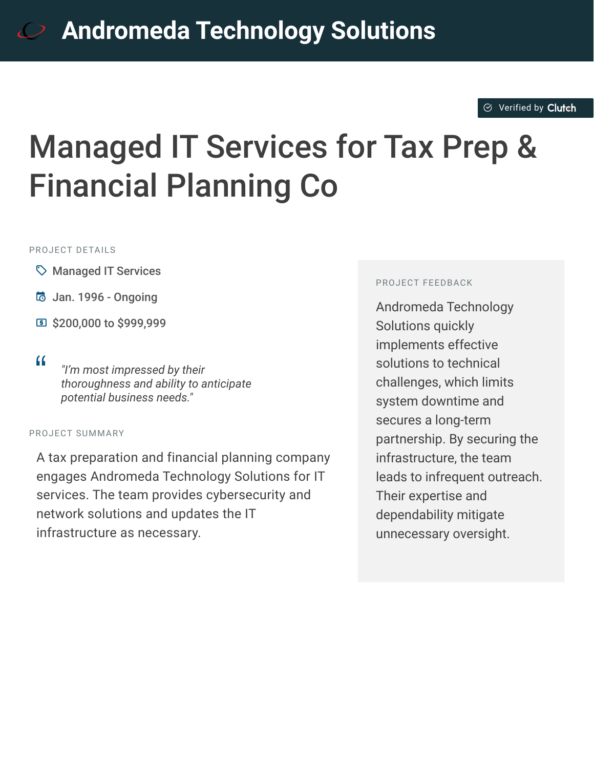#### $\otimes$  [Verified by](https://clutch.co?utm_source=case_studies&utm_medium=verified_by_clutch) Clutch

# Managed IT Services for Tax Prep & Financial Planning Co

#### PROJECT DETAILS

- $\heartsuit$  Managed IT Services
- B Jan. 1996 Ongoing
- $\boxed{9}$  \$200,000 to \$999,999
- <sup>D</sup> *"I'm most impressed by their thoroughness and ability to anticipate potential business needs."*

#### PROJECT SUMMARY

A tax preparation and financial planning company engages Andromeda Technology Solutions for IT services. The team provides cybersecurity and network solutions and updates the IT infrastructure as necessary.

#### PROJECT FEEDBACK

Andromeda Technology Solutions quickly implements effective solutions to technical challenges, which limits system downtime and secures a long-term partnership. By securing the infrastructure, the team leads to infrequent outreach. Their expertise and dependability mitigate unnecessary oversight.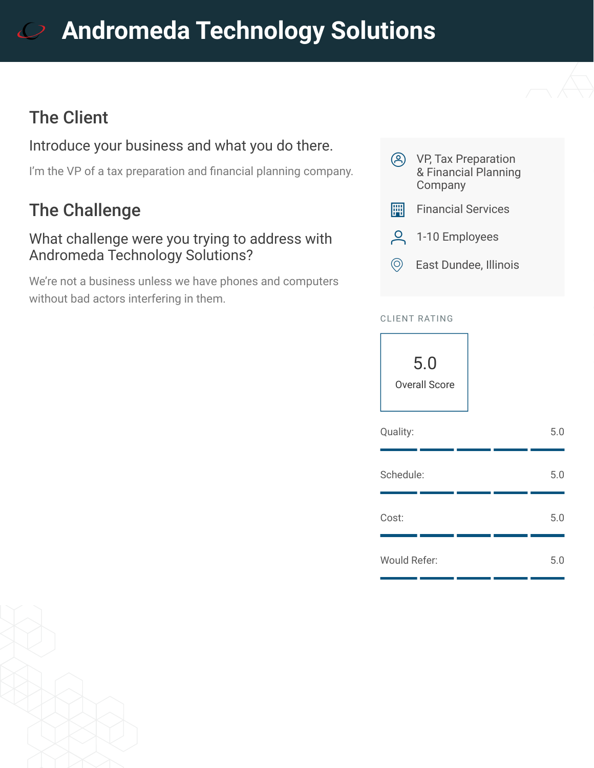# **[A](https://clutch.co/profile/andromeda-technology-solutions?utm_source=case_studies&utm_medium=logo)ndromeda Technology Solutions**

## The Client

### Introduce your business and what you do there.

I'm the VP of a tax preparation and financial planning company.

## The Challenge

#### What challenge were you trying to address with Andromeda Technology Solutions?

We're not a business unless we have phones and computers without bad actors interfering in them.



#### CLIENT RATING



| Quality:            |  | 5.0 |
|---------------------|--|-----|
| Schedule:           |  | 5.0 |
| Cost:               |  | 5.0 |
| <b>Would Refer:</b> |  | 5.0 |

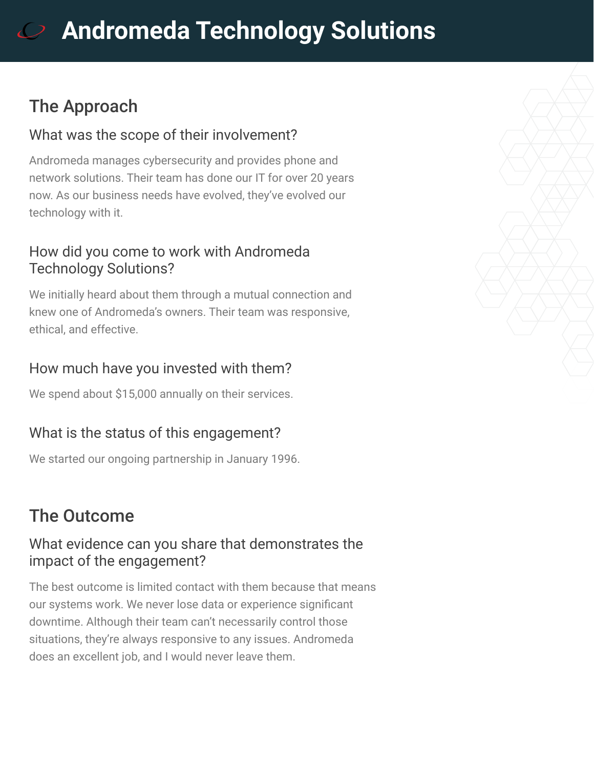# **[A](https://clutch.co/profile/andromeda-technology-solutions?utm_source=case_studies&utm_medium=logo)ndromeda Technology Solutions**

## The Approach

#### What was the scope of their involvement?

Andromeda manages cybersecurity and provides phone and network solutions. Their team has done our IT for over 20 years now. As our business needs have evolved, they've evolved our technology with it.

#### How did you come to work with Andromeda Technology Solutions?

We initially heard about them through a mutual connection and knew one of Andromeda's owners. Their team was responsive, ethical, and effective.

### How much have you invested with them?

We spend about \$15,000 annually on their services.

### What is the status of this engagement?

We started our ongoing partnership in January 1996.

## The Outcome

#### What evidence can you share that demonstrates the impact of the engagement?

The best outcome is limited contact with them because that means our systems work. We never lose data or experience significant downtime. Although their team can't necessarily control those situations, they're always responsive to any issues. Andromeda does an excellent job, and I would never leave them.